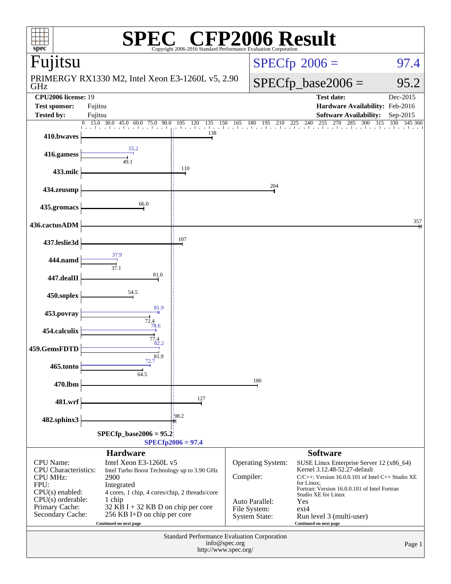| P2006 Result<br>spec <sup>®</sup><br>Copyright 2006-2016 Standard Performance Evaluation Corporation |                                                                                                                        |                                                           |                   |                                                                                                                                                                                                                        |                                                                        |                       |  |  |  |
|------------------------------------------------------------------------------------------------------|------------------------------------------------------------------------------------------------------------------------|-----------------------------------------------------------|-------------------|------------------------------------------------------------------------------------------------------------------------------------------------------------------------------------------------------------------------|------------------------------------------------------------------------|-----------------------|--|--|--|
| Fujitsu                                                                                              |                                                                                                                        |                                                           |                   |                                                                                                                                                                                                                        | $SPECfp^{\circ}2006 =$                                                 | 97.4                  |  |  |  |
| GHz                                                                                                  | PRIMERGY RX1330 M2, Intel Xeon E3-1260L v5, 2.90                                                                       |                                                           |                   | $SPECfp\_base2006 =$<br>95.2                                                                                                                                                                                           |                                                                        |                       |  |  |  |
| <b>CPU2006</b> license: 19<br><b>Test sponsor:</b>                                                   | Fujitsu                                                                                                                |                                                           |                   |                                                                                                                                                                                                                        | <b>Test date:</b><br>Hardware Availability: Feb-2016                   | Dec-2015              |  |  |  |
| <b>Tested by:</b>                                                                                    | Fujitsu                                                                                                                |                                                           |                   |                                                                                                                                                                                                                        | <b>Software Availability:</b>                                          | Sep-2015              |  |  |  |
| 410.bwaves                                                                                           | $15.0$ 30.0 45.0<br>$\Omega$<br>90.0<br>60.0<br>75.0<br>$-1$ $-1$                                                      | $\overline{135}$<br>105<br>120<br>150<br>a bandara<br>138 |                   |                                                                                                                                                                                                                        | $\frac{150}{150}$ 165 180 195 210 225 240 255 270<br>270<br>285<br>300 | 315<br>330<br>345 360 |  |  |  |
| 416.gamess                                                                                           | 55.2<br>49.1                                                                                                           |                                                           |                   |                                                                                                                                                                                                                        |                                                                        |                       |  |  |  |
| 433.milc                                                                                             |                                                                                                                        | 110                                                       |                   |                                                                                                                                                                                                                        |                                                                        |                       |  |  |  |
| 434.zeusmp                                                                                           |                                                                                                                        |                                                           |                   | 204                                                                                                                                                                                                                    |                                                                        |                       |  |  |  |
| 435.gromacs                                                                                          | 66.0                                                                                                                   |                                                           |                   |                                                                                                                                                                                                                        |                                                                        |                       |  |  |  |
| 436.cactusADM                                                                                        |                                                                                                                        |                                                           |                   |                                                                                                                                                                                                                        |                                                                        | 357                   |  |  |  |
| 437.leslie3d                                                                                         |                                                                                                                        | 107                                                       |                   |                                                                                                                                                                                                                        |                                                                        |                       |  |  |  |
| 444.namd                                                                                             | 37.9<br>37.1                                                                                                           |                                                           |                   |                                                                                                                                                                                                                        |                                                                        |                       |  |  |  |
| 447.dealII                                                                                           | 81.0                                                                                                                   |                                                           |                   |                                                                                                                                                                                                                        |                                                                        |                       |  |  |  |
| 450.soplex                                                                                           | 54.5<br>81.9                                                                                                           |                                                           |                   |                                                                                                                                                                                                                        |                                                                        |                       |  |  |  |
| 453.povray                                                                                           | $\frac{72.4}{78.6}$                                                                                                    |                                                           |                   |                                                                                                                                                                                                                        |                                                                        |                       |  |  |  |
| 454.calculix                                                                                         | 77.4<br>82.2                                                                                                           |                                                           |                   |                                                                                                                                                                                                                        |                                                                        |                       |  |  |  |
| 459.GemsFDTD<br>465.tonto                                                                            | 81.9<br>72.7                                                                                                           |                                                           |                   |                                                                                                                                                                                                                        |                                                                        |                       |  |  |  |
| 470.lbm                                                                                              | 64.5                                                                                                                   |                                                           |                   | 186                                                                                                                                                                                                                    |                                                                        |                       |  |  |  |
| 481.wrf                                                                                              |                                                                                                                        | 127                                                       |                   |                                                                                                                                                                                                                        |                                                                        |                       |  |  |  |
| 482.sphinx3                                                                                          |                                                                                                                        | 198.2                                                     |                   |                                                                                                                                                                                                                        |                                                                        |                       |  |  |  |
| $SPECfp\_base2006 = 95.2$<br>$SPECfp2006 = 97.4$                                                     |                                                                                                                        |                                                           |                   |                                                                                                                                                                                                                        |                                                                        |                       |  |  |  |
|                                                                                                      | <b>Hardware</b>                                                                                                        |                                                           |                   |                                                                                                                                                                                                                        | <b>Software</b>                                                        |                       |  |  |  |
| <b>CPU</b> Name:<br><b>CPU</b> Characteristics:<br><b>CPU MHz:</b><br>FPU:<br>$CPU(s)$ enabled:      | Intel Xeon E3-1260L v5<br>Intel Turbo Boost Technology up to 3.90 GHz<br>4 cores, 1 chip, 4 cores/chip, 2 threads/core | Compiler:                                                 | Operating System: | SUSE Linux Enterprise Server 12 (x86_64)<br>Kernel 3.12.48-52.27-default<br>$C/C++$ : Version 16.0.0.101 of Intel $C++$ Studio XE<br>for Linux:<br>Fortran: Version 16.0.0.101 of Intel Fortran<br>Studio XE for Linux |                                                                        |                       |  |  |  |
| $CPU(s)$ orderable:<br>Primary Cache:<br>Secondary Cache:                                            | Auto Parallel:<br>$32$ KB I + 32 KB D on chip per core<br>File System:<br>256 KB I+D on chip per core<br>System State: |                                                           |                   | Yes<br>$ext{4}$<br>Run level 3 (multi-user)<br>Continued on next page                                                                                                                                                  |                                                                        |                       |  |  |  |
| Standard Performance Evaluation Corporation<br>info@spec.org<br>http://www.spec.org/                 |                                                                                                                        |                                                           |                   |                                                                                                                                                                                                                        |                                                                        | Page 1                |  |  |  |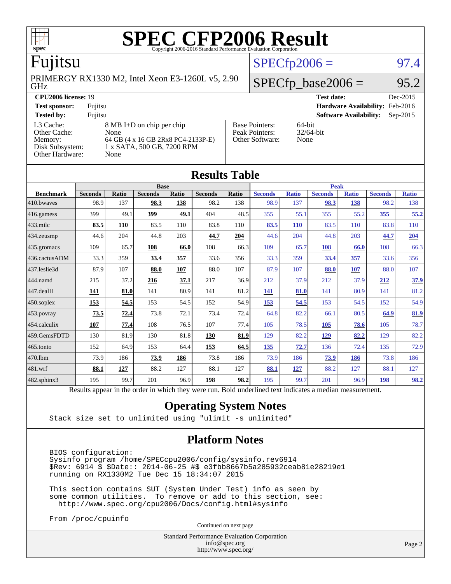| <b>SPEC CFP2006 Result</b><br>$spec^*$<br>Copyright 2006-2016 Standard Performance Evaluation Corporation |                                                                                                               |  |                                                            |                                   |            |  |  |  |  |
|-----------------------------------------------------------------------------------------------------------|---------------------------------------------------------------------------------------------------------------|--|------------------------------------------------------------|-----------------------------------|------------|--|--|--|--|
| Fujitsu                                                                                                   |                                                                                                               |  |                                                            | $SPECfp2006 =$                    | 97.4       |  |  |  |  |
| <b>GHz</b>                                                                                                | PRIMERGY RX1330 M2, Intel Xeon E3-1260L v5, 2.90                                                              |  |                                                            | $SPECfp\_base2006 =$              | 95.2       |  |  |  |  |
| <b>CPU2006 license: 19</b>                                                                                |                                                                                                               |  |                                                            | <b>Test date:</b>                 | Dec-2015   |  |  |  |  |
| <b>Test sponsor:</b>                                                                                      | Fujitsu                                                                                                       |  |                                                            | Hardware Availability: Feb-2016   |            |  |  |  |  |
| <b>Tested by:</b>                                                                                         | Fujitsu                                                                                                       |  |                                                            | <b>Software Availability:</b>     | $Sep-2015$ |  |  |  |  |
| L <sub>3</sub> Cache:<br>Other Cache:<br>Memory:<br>Disk Subsystem:<br>Other Hardware:                    | 8 MB I+D on chip per chip<br>None<br>64 GB (4 x 16 GB 2Rx8 PC4-2133P-E)<br>1 x SATA, 500 GB, 7200 RPM<br>None |  | <b>Base Pointers:</b><br>Peak Pointers:<br>Other Software: | $64$ -bit<br>$32/64$ -bit<br>None |            |  |  |  |  |

| <b>Results Table</b> |                                                                                                          |       |                |              |                |              |                |              |                |              |                |              |  |
|----------------------|----------------------------------------------------------------------------------------------------------|-------|----------------|--------------|----------------|--------------|----------------|--------------|----------------|--------------|----------------|--------------|--|
|                      | <b>Base</b>                                                                                              |       |                |              |                |              | <b>Peak</b>    |              |                |              |                |              |  |
| <b>Benchmark</b>     | <b>Seconds</b>                                                                                           | Ratio | <b>Seconds</b> | <b>Ratio</b> | <b>Seconds</b> | <b>Ratio</b> | <b>Seconds</b> | <b>Ratio</b> | <b>Seconds</b> | <b>Ratio</b> | <b>Seconds</b> | <b>Ratio</b> |  |
| 410.bwayes           | 98.9                                                                                                     | 137   | 98.3           | 138          | 98.2           | 138          | 98.9           | 137          | 98.3           | 138          | 98.2           | 138          |  |
| 416.gamess           | 399                                                                                                      | 49.1  | 399            | 49.1         | 404            | 48.5         | 355            | 55.1         | 355            | 55.2         | 355            | 55.2         |  |
| $433$ .milc          | 83.5                                                                                                     | 110   | 83.5           | 110          | 83.8           | 110          | 83.5           | <b>110</b>   | 83.5           | 110          | 83.8           | 110          |  |
| 434.zeusmp           | 44.6                                                                                                     | 204   | 44.8           | 203          | 44.7           | 204          | 44.6           | 204          | 44.8           | 203          | 44.7           | 204          |  |
| 435.gromacs          | 109                                                                                                      | 65.7  | 108            | 66.0         | 108            | 66.3         | 109            | 65.7         | 108            | 66.0         | 108            | 66.3         |  |
| 436.cactusADM        | 33.3                                                                                                     | 359   | 33.4           | 357          | 33.6           | 356          | 33.3           | 359          | 33.4           | <u>357</u>   | 33.6           | 356          |  |
| 437.leslie3d         | 87.9                                                                                                     | 107   | 88.0           | 107          | 88.0           | 107          | 87.9           | 107          | 88.0           | <b>107</b>   | 88.0           | 107          |  |
| 444.namd             | 215                                                                                                      | 37.2  | 216            | 37.1         | 217            | 36.9         | 212            | 37.9         | 212            | 37.9         | 212            | 37.9         |  |
| 447.dealII           | <u>141</u>                                                                                               | 81.0  | 141            | 80.9         | 141            | 81.2         | <u>141</u>     | 81.0         | 141            | 80.9         | 141            | 81.2         |  |
| $450$ .soplex        | 153                                                                                                      | 54.5  | 153            | 54.5         | 152            | 54.9         | 153            | 54.5         | 153            | 54.5         | 152            | 54.9         |  |
| $453$ .povray        | 73.5                                                                                                     | 72.4  | 73.8           | 72.1         | 73.4           | 72.4         | 64.8           | 82.2         | 66.1           | 80.5         | 64.9           | 81.9         |  |
| 454.calculix         | 107                                                                                                      | 77.4  | 108            | 76.5         | 107            | 77.4         | 105            | 78.5         | 105            | 78.6         | 105            | 78.7         |  |
| 459.GemsFDTD         | 130                                                                                                      | 81.9  | 130            | 81.8         | 130            | 81.9         | 129            | 82.2         | 129            | 82.2         | 129            | 82.2         |  |
| 465.tonto            | 152                                                                                                      | 64.9  | 153            | 64.4         | 153            | 64.5         | 135            | 72.7         | 136            | 72.4         | 135            | 72.9         |  |
| 470.1bm              | 73.9                                                                                                     | 186   | 73.9           | 186          | 73.8           | 186          | 73.9           | 186          | 73.9           | <u>186</u>   | 73.8           | 186          |  |
| 481.wrf              | 88.1                                                                                                     | 127   | 88.2           | 127          | 88.1           | 127          | 88.1           | 127          | 88.2           | 127          | 88.1           | 127          |  |
| 482.sphinx3          | 195                                                                                                      | 99.7  | 201            | 96.9         | 198            | 98.2         | 195            | 99.7         | 201            | 96.9         | 198            | <u>98.2</u>  |  |
|                      | Results appear in the order in which they were run. Bold underlined text indicates a median measurement. |       |                |              |                |              |                |              |                |              |                |              |  |

#### **[Operating System Notes](http://www.spec.org/auto/cpu2006/Docs/result-fields.html#OperatingSystemNotes)**

Stack size set to unlimited using "ulimit -s unlimited"

#### **[Platform Notes](http://www.spec.org/auto/cpu2006/Docs/result-fields.html#PlatformNotes)**

 BIOS configuration: Sysinfo program /home/SPECcpu2006/config/sysinfo.rev6914 \$Rev: 6914 \$ \$Date:: 2014-06-25 #\$ e3fbb8667b5a285932ceab81e28219e1 running on RX1330M2 Tue Dec 15 18:34:07 2015

 This section contains SUT (System Under Test) info as seen by some common utilities. To remove or add to this section, see: <http://www.spec.org/cpu2006/Docs/config.html#sysinfo>

From /proc/cpuinfo

Continued on next page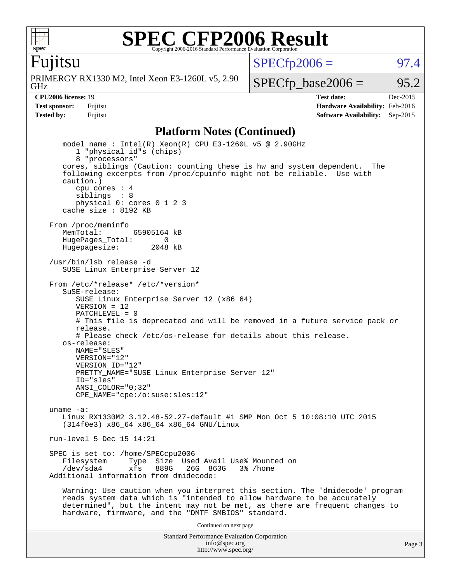

Fujitsu

GHz PRIMERGY RX1330 M2, Intel Xeon E3-1260L v5, 2.90  $SPECTp2006 =$  97.4

 $SPECTp\_base2006 = 95.2$ 

**[CPU2006 license:](http://www.spec.org/auto/cpu2006/Docs/result-fields.html#CPU2006license)** 19 **[Test date:](http://www.spec.org/auto/cpu2006/Docs/result-fields.html#Testdate)** Dec-2015 **[Test sponsor:](http://www.spec.org/auto/cpu2006/Docs/result-fields.html#Testsponsor)** Fujitsu **[Hardware Availability:](http://www.spec.org/auto/cpu2006/Docs/result-fields.html#HardwareAvailability)** Feb-2016 **[Tested by:](http://www.spec.org/auto/cpu2006/Docs/result-fields.html#Testedby)** Fujitsu **[Software Availability:](http://www.spec.org/auto/cpu2006/Docs/result-fields.html#SoftwareAvailability)** Sep-2015

#### **[Platform Notes \(Continued\)](http://www.spec.org/auto/cpu2006/Docs/result-fields.html#PlatformNotes)**

Standard Performance Evaluation Corporation model name : Intel(R) Xeon(R) CPU E3-1260L v5 @ 2.90GHz 1 "physical id"s (chips) 8 "processors" cores, siblings (Caution: counting these is hw and system dependent. The following excerpts from /proc/cpuinfo might not be reliable. Use with caution.) cpu cores : 4 siblings : 8 physical 0: cores 0 1 2 3 cache size : 8192 KB From /proc/meminfo MemTotal: 65905164 kB HugePages\_Total: 0<br>Hugepagesize: 2048 kB Hugepagesize: /usr/bin/lsb\_release -d SUSE Linux Enterprise Server 12 From /etc/\*release\* /etc/\*version\* SuSE-release: SUSE Linux Enterprise Server 12 (x86\_64)  $VFRSTON = 12$  PATCHLEVEL = 0 # This file is deprecated and will be removed in a future service pack or release. # Please check /etc/os-release for details about this release. os-release: NAME="SLES" VERSION="12" VERSION\_ID="12" PRETTY\_NAME="SUSE Linux Enterprise Server 12" ID="sles" ANSI\_COLOR="0;32" CPE\_NAME="cpe:/o:suse:sles:12" uname -a: Linux RX1330M2 3.12.48-52.27-default #1 SMP Mon Oct 5 10:08:10 UTC 2015 (314f0e3) x86\_64 x86\_64 x86\_64 GNU/Linux run-level 5 Dec 15 14:21 SPEC is set to: /home/SPECcpu2006<br>Filesystem Type Size Use Type Size Used Avail Use% Mounted on /dev/sda4 xfs 889G 26G 863G 3% /home Additional information from dmidecode: Warning: Use caution when you interpret this section. The 'dmidecode' program reads system data which is "intended to allow hardware to be accurately determined", but the intent may not be met, as there are frequent changes to hardware, firmware, and the "DMTF SMBIOS" standard. Continued on next page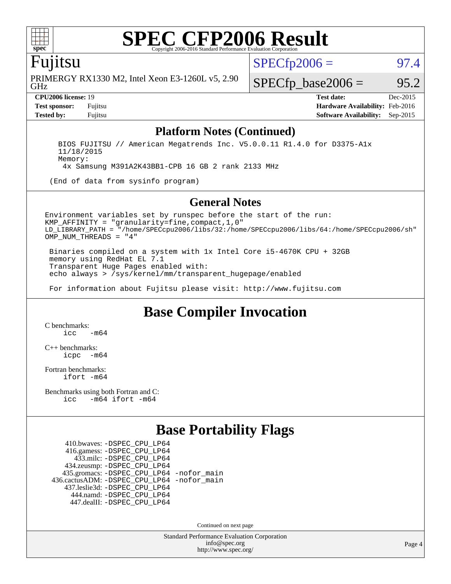

### Fujitsu

GHz PRIMERGY RX1330 M2, Intel Xeon E3-1260L v5, 2.90  $SPECTp2006 =$  97.4

 $SPECTp\_base2006 = 95.2$ 

**[CPU2006 license:](http://www.spec.org/auto/cpu2006/Docs/result-fields.html#CPU2006license)** 19 **[Test date:](http://www.spec.org/auto/cpu2006/Docs/result-fields.html#Testdate)** Dec-2015 **[Test sponsor:](http://www.spec.org/auto/cpu2006/Docs/result-fields.html#Testsponsor)** Fujitsu **[Hardware Availability:](http://www.spec.org/auto/cpu2006/Docs/result-fields.html#HardwareAvailability)** Feb-2016 **[Tested by:](http://www.spec.org/auto/cpu2006/Docs/result-fields.html#Testedby)** Fujitsu **[Software Availability:](http://www.spec.org/auto/cpu2006/Docs/result-fields.html#SoftwareAvailability)** Sep-2015

#### **[Platform Notes \(Continued\)](http://www.spec.org/auto/cpu2006/Docs/result-fields.html#PlatformNotes)**

 BIOS FUJITSU // American Megatrends Inc. V5.0.0.11 R1.4.0 for D3375-A1x 11/18/2015 Memory: 4x Samsung M391A2K43BB1-CPB 16 GB 2 rank 2133 MHz

(End of data from sysinfo program)

#### **[General Notes](http://www.spec.org/auto/cpu2006/Docs/result-fields.html#GeneralNotes)**

Environment variables set by runspec before the start of the run: KMP\_AFFINITY = "granularity=fine,compact,1,0" LD\_LIBRARY\_PATH = "/home/SPECcpu2006/libs/32:/home/SPECcpu2006/libs/64:/home/SPECcpu2006/sh" OMP NUM THREADS = "4"

 Binaries compiled on a system with 1x Intel Core i5-4670K CPU + 32GB memory using RedHat EL 7.1 Transparent Huge Pages enabled with: echo always > /sys/kernel/mm/transparent\_hugepage/enabled

For information about Fujitsu please visit: <http://www.fujitsu.com>

### **[Base Compiler Invocation](http://www.spec.org/auto/cpu2006/Docs/result-fields.html#BaseCompilerInvocation)**

[C benchmarks](http://www.spec.org/auto/cpu2006/Docs/result-fields.html#Cbenchmarks):  $irc = m64$ 

[C++ benchmarks:](http://www.spec.org/auto/cpu2006/Docs/result-fields.html#CXXbenchmarks) [icpc -m64](http://www.spec.org/cpu2006/results/res2016q1/cpu2006-20160111-38666.flags.html#user_CXXbase_intel_icpc_64bit_bedb90c1146cab66620883ef4f41a67e)

[Fortran benchmarks](http://www.spec.org/auto/cpu2006/Docs/result-fields.html#Fortranbenchmarks): [ifort -m64](http://www.spec.org/cpu2006/results/res2016q1/cpu2006-20160111-38666.flags.html#user_FCbase_intel_ifort_64bit_ee9d0fb25645d0210d97eb0527dcc06e)

[Benchmarks using both Fortran and C](http://www.spec.org/auto/cpu2006/Docs/result-fields.html#BenchmarksusingbothFortranandC): [icc -m64](http://www.spec.org/cpu2006/results/res2016q1/cpu2006-20160111-38666.flags.html#user_CC_FCbase_intel_icc_64bit_0b7121f5ab7cfabee23d88897260401c) [ifort -m64](http://www.spec.org/cpu2006/results/res2016q1/cpu2006-20160111-38666.flags.html#user_CC_FCbase_intel_ifort_64bit_ee9d0fb25645d0210d97eb0527dcc06e)

### **[Base Portability Flags](http://www.spec.org/auto/cpu2006/Docs/result-fields.html#BasePortabilityFlags)**

 410.bwaves: [-DSPEC\\_CPU\\_LP64](http://www.spec.org/cpu2006/results/res2016q1/cpu2006-20160111-38666.flags.html#suite_basePORTABILITY410_bwaves_DSPEC_CPU_LP64) 416.gamess: [-DSPEC\\_CPU\\_LP64](http://www.spec.org/cpu2006/results/res2016q1/cpu2006-20160111-38666.flags.html#suite_basePORTABILITY416_gamess_DSPEC_CPU_LP64) 433.milc: [-DSPEC\\_CPU\\_LP64](http://www.spec.org/cpu2006/results/res2016q1/cpu2006-20160111-38666.flags.html#suite_basePORTABILITY433_milc_DSPEC_CPU_LP64) 434.zeusmp: [-DSPEC\\_CPU\\_LP64](http://www.spec.org/cpu2006/results/res2016q1/cpu2006-20160111-38666.flags.html#suite_basePORTABILITY434_zeusmp_DSPEC_CPU_LP64) 435.gromacs: [-DSPEC\\_CPU\\_LP64](http://www.spec.org/cpu2006/results/res2016q1/cpu2006-20160111-38666.flags.html#suite_basePORTABILITY435_gromacs_DSPEC_CPU_LP64) [-nofor\\_main](http://www.spec.org/cpu2006/results/res2016q1/cpu2006-20160111-38666.flags.html#user_baseLDPORTABILITY435_gromacs_f-nofor_main) 436.cactusADM: [-DSPEC\\_CPU\\_LP64](http://www.spec.org/cpu2006/results/res2016q1/cpu2006-20160111-38666.flags.html#suite_basePORTABILITY436_cactusADM_DSPEC_CPU_LP64) [-nofor\\_main](http://www.spec.org/cpu2006/results/res2016q1/cpu2006-20160111-38666.flags.html#user_baseLDPORTABILITY436_cactusADM_f-nofor_main) 437.leslie3d: [-DSPEC\\_CPU\\_LP64](http://www.spec.org/cpu2006/results/res2016q1/cpu2006-20160111-38666.flags.html#suite_basePORTABILITY437_leslie3d_DSPEC_CPU_LP64) 444.namd: [-DSPEC\\_CPU\\_LP64](http://www.spec.org/cpu2006/results/res2016q1/cpu2006-20160111-38666.flags.html#suite_basePORTABILITY444_namd_DSPEC_CPU_LP64) 447.dealII: [-DSPEC\\_CPU\\_LP64](http://www.spec.org/cpu2006/results/res2016q1/cpu2006-20160111-38666.flags.html#suite_basePORTABILITY447_dealII_DSPEC_CPU_LP64)

Continued on next page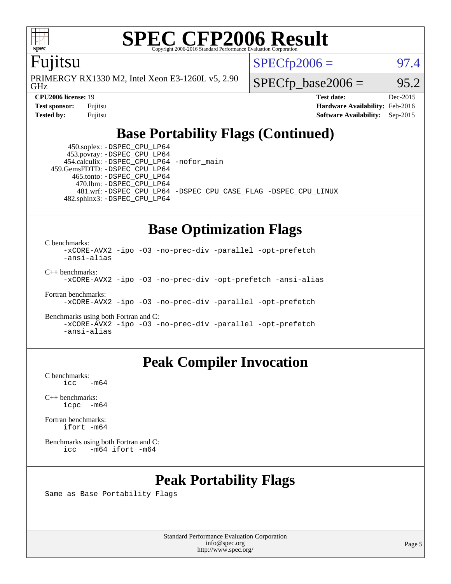

#### Fujitsu

GHz PRIMERGY RX1330 M2, Intel Xeon E3-1260L v5, 2.90  $SPECTp2006 =$  97.4

**[CPU2006 license:](http://www.spec.org/auto/cpu2006/Docs/result-fields.html#CPU2006license)** 19 **[Test date:](http://www.spec.org/auto/cpu2006/Docs/result-fields.html#Testdate)** Dec-2015

 $SPECTp\_base2006 = 95.2$ 

**[Test sponsor:](http://www.spec.org/auto/cpu2006/Docs/result-fields.html#Testsponsor)** Fujitsu **[Hardware Availability:](http://www.spec.org/auto/cpu2006/Docs/result-fields.html#HardwareAvailability)** Feb-2016 **[Tested by:](http://www.spec.org/auto/cpu2006/Docs/result-fields.html#Testedby)** Fujitsu **[Software Availability:](http://www.spec.org/auto/cpu2006/Docs/result-fields.html#SoftwareAvailability)** Sep-2015

### **[Base Portability Flags \(Continued\)](http://www.spec.org/auto/cpu2006/Docs/result-fields.html#BasePortabilityFlags)**

 450.soplex: [-DSPEC\\_CPU\\_LP64](http://www.spec.org/cpu2006/results/res2016q1/cpu2006-20160111-38666.flags.html#suite_basePORTABILITY450_soplex_DSPEC_CPU_LP64) 453.povray: [-DSPEC\\_CPU\\_LP64](http://www.spec.org/cpu2006/results/res2016q1/cpu2006-20160111-38666.flags.html#suite_basePORTABILITY453_povray_DSPEC_CPU_LP64) 454.calculix: [-DSPEC\\_CPU\\_LP64](http://www.spec.org/cpu2006/results/res2016q1/cpu2006-20160111-38666.flags.html#suite_basePORTABILITY454_calculix_DSPEC_CPU_LP64) [-nofor\\_main](http://www.spec.org/cpu2006/results/res2016q1/cpu2006-20160111-38666.flags.html#user_baseLDPORTABILITY454_calculix_f-nofor_main) 459.GemsFDTD: [-DSPEC\\_CPU\\_LP64](http://www.spec.org/cpu2006/results/res2016q1/cpu2006-20160111-38666.flags.html#suite_basePORTABILITY459_GemsFDTD_DSPEC_CPU_LP64) 465.tonto: [-DSPEC\\_CPU\\_LP64](http://www.spec.org/cpu2006/results/res2016q1/cpu2006-20160111-38666.flags.html#suite_basePORTABILITY465_tonto_DSPEC_CPU_LP64) 470.lbm: [-DSPEC\\_CPU\\_LP64](http://www.spec.org/cpu2006/results/res2016q1/cpu2006-20160111-38666.flags.html#suite_basePORTABILITY470_lbm_DSPEC_CPU_LP64) 482.sphinx3: [-DSPEC\\_CPU\\_LP64](http://www.spec.org/cpu2006/results/res2016q1/cpu2006-20160111-38666.flags.html#suite_basePORTABILITY482_sphinx3_DSPEC_CPU_LP64)

481.wrf: [-DSPEC\\_CPU\\_LP64](http://www.spec.org/cpu2006/results/res2016q1/cpu2006-20160111-38666.flags.html#suite_basePORTABILITY481_wrf_DSPEC_CPU_LP64) [-DSPEC\\_CPU\\_CASE\\_FLAG](http://www.spec.org/cpu2006/results/res2016q1/cpu2006-20160111-38666.flags.html#b481.wrf_baseCPORTABILITY_DSPEC_CPU_CASE_FLAG) [-DSPEC\\_CPU\\_LINUX](http://www.spec.org/cpu2006/results/res2016q1/cpu2006-20160111-38666.flags.html#b481.wrf_baseCPORTABILITY_DSPEC_CPU_LINUX)

### **[Base Optimization Flags](http://www.spec.org/auto/cpu2006/Docs/result-fields.html#BaseOptimizationFlags)**

[C benchmarks](http://www.spec.org/auto/cpu2006/Docs/result-fields.html#Cbenchmarks):

[-xCORE-AVX2](http://www.spec.org/cpu2006/results/res2016q1/cpu2006-20160111-38666.flags.html#user_CCbase_f-xAVX2_5f5fc0cbe2c9f62c816d3e45806c70d7) [-ipo](http://www.spec.org/cpu2006/results/res2016q1/cpu2006-20160111-38666.flags.html#user_CCbase_f-ipo) [-O3](http://www.spec.org/cpu2006/results/res2016q1/cpu2006-20160111-38666.flags.html#user_CCbase_f-O3) [-no-prec-div](http://www.spec.org/cpu2006/results/res2016q1/cpu2006-20160111-38666.flags.html#user_CCbase_f-no-prec-div) [-parallel](http://www.spec.org/cpu2006/results/res2016q1/cpu2006-20160111-38666.flags.html#user_CCbase_f-parallel) [-opt-prefetch](http://www.spec.org/cpu2006/results/res2016q1/cpu2006-20160111-38666.flags.html#user_CCbase_f-opt-prefetch) [-ansi-alias](http://www.spec.org/cpu2006/results/res2016q1/cpu2006-20160111-38666.flags.html#user_CCbase_f-ansi-alias) [C++ benchmarks:](http://www.spec.org/auto/cpu2006/Docs/result-fields.html#CXXbenchmarks)

[-xCORE-AVX2](http://www.spec.org/cpu2006/results/res2016q1/cpu2006-20160111-38666.flags.html#user_CXXbase_f-xAVX2_5f5fc0cbe2c9f62c816d3e45806c70d7) [-ipo](http://www.spec.org/cpu2006/results/res2016q1/cpu2006-20160111-38666.flags.html#user_CXXbase_f-ipo) [-O3](http://www.spec.org/cpu2006/results/res2016q1/cpu2006-20160111-38666.flags.html#user_CXXbase_f-O3) [-no-prec-div](http://www.spec.org/cpu2006/results/res2016q1/cpu2006-20160111-38666.flags.html#user_CXXbase_f-no-prec-div) [-opt-prefetch](http://www.spec.org/cpu2006/results/res2016q1/cpu2006-20160111-38666.flags.html#user_CXXbase_f-opt-prefetch) [-ansi-alias](http://www.spec.org/cpu2006/results/res2016q1/cpu2006-20160111-38666.flags.html#user_CXXbase_f-ansi-alias)

[Fortran benchmarks](http://www.spec.org/auto/cpu2006/Docs/result-fields.html#Fortranbenchmarks): [-xCORE-AVX2](http://www.spec.org/cpu2006/results/res2016q1/cpu2006-20160111-38666.flags.html#user_FCbase_f-xAVX2_5f5fc0cbe2c9f62c816d3e45806c70d7) [-ipo](http://www.spec.org/cpu2006/results/res2016q1/cpu2006-20160111-38666.flags.html#user_FCbase_f-ipo) [-O3](http://www.spec.org/cpu2006/results/res2016q1/cpu2006-20160111-38666.flags.html#user_FCbase_f-O3) [-no-prec-div](http://www.spec.org/cpu2006/results/res2016q1/cpu2006-20160111-38666.flags.html#user_FCbase_f-no-prec-div) [-parallel](http://www.spec.org/cpu2006/results/res2016q1/cpu2006-20160111-38666.flags.html#user_FCbase_f-parallel) [-opt-prefetch](http://www.spec.org/cpu2006/results/res2016q1/cpu2006-20160111-38666.flags.html#user_FCbase_f-opt-prefetch)

[Benchmarks using both Fortran and C](http://www.spec.org/auto/cpu2006/Docs/result-fields.html#BenchmarksusingbothFortranandC): [-xCORE-AVX2](http://www.spec.org/cpu2006/results/res2016q1/cpu2006-20160111-38666.flags.html#user_CC_FCbase_f-xAVX2_5f5fc0cbe2c9f62c816d3e45806c70d7) [-ipo](http://www.spec.org/cpu2006/results/res2016q1/cpu2006-20160111-38666.flags.html#user_CC_FCbase_f-ipo) [-O3](http://www.spec.org/cpu2006/results/res2016q1/cpu2006-20160111-38666.flags.html#user_CC_FCbase_f-O3) [-no-prec-div](http://www.spec.org/cpu2006/results/res2016q1/cpu2006-20160111-38666.flags.html#user_CC_FCbase_f-no-prec-div) [-parallel](http://www.spec.org/cpu2006/results/res2016q1/cpu2006-20160111-38666.flags.html#user_CC_FCbase_f-parallel) [-opt-prefetch](http://www.spec.org/cpu2006/results/res2016q1/cpu2006-20160111-38666.flags.html#user_CC_FCbase_f-opt-prefetch) [-ansi-alias](http://www.spec.org/cpu2006/results/res2016q1/cpu2006-20160111-38666.flags.html#user_CC_FCbase_f-ansi-alias)

### **[Peak Compiler Invocation](http://www.spec.org/auto/cpu2006/Docs/result-fields.html#PeakCompilerInvocation)**

[C benchmarks](http://www.spec.org/auto/cpu2006/Docs/result-fields.html#Cbenchmarks):  $\text{icc}$   $-\text{m64}$ 

[C++ benchmarks:](http://www.spec.org/auto/cpu2006/Docs/result-fields.html#CXXbenchmarks) [icpc -m64](http://www.spec.org/cpu2006/results/res2016q1/cpu2006-20160111-38666.flags.html#user_CXXpeak_intel_icpc_64bit_bedb90c1146cab66620883ef4f41a67e)

[Fortran benchmarks](http://www.spec.org/auto/cpu2006/Docs/result-fields.html#Fortranbenchmarks): [ifort -m64](http://www.spec.org/cpu2006/results/res2016q1/cpu2006-20160111-38666.flags.html#user_FCpeak_intel_ifort_64bit_ee9d0fb25645d0210d97eb0527dcc06e)

[Benchmarks using both Fortran and C](http://www.spec.org/auto/cpu2006/Docs/result-fields.html#BenchmarksusingbothFortranandC): [icc -m64](http://www.spec.org/cpu2006/results/res2016q1/cpu2006-20160111-38666.flags.html#user_CC_FCpeak_intel_icc_64bit_0b7121f5ab7cfabee23d88897260401c) [ifort -m64](http://www.spec.org/cpu2006/results/res2016q1/cpu2006-20160111-38666.flags.html#user_CC_FCpeak_intel_ifort_64bit_ee9d0fb25645d0210d97eb0527dcc06e)

### **[Peak Portability Flags](http://www.spec.org/auto/cpu2006/Docs/result-fields.html#PeakPortabilityFlags)**

Same as Base Portability Flags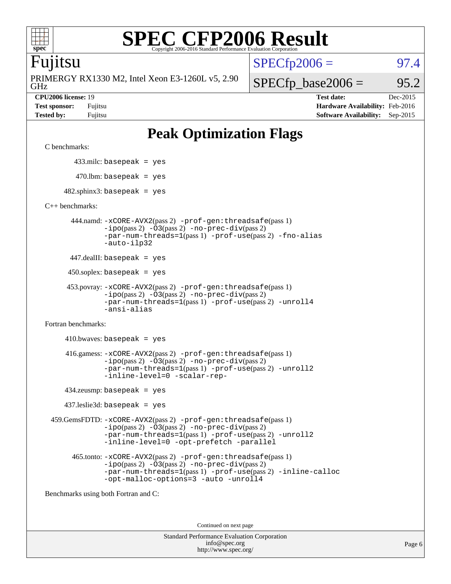

#### Fujitsu

GHz PRIMERGY RX1330 M2, Intel Xeon E3-1260L v5, 2.90

 $SPECTp2006 =$  97.4

 $SPECfp\_base2006 = 95.2$ 

**[CPU2006 license:](http://www.spec.org/auto/cpu2006/Docs/result-fields.html#CPU2006license)** 19 **[Test date:](http://www.spec.org/auto/cpu2006/Docs/result-fields.html#Testdate)** Dec-2015 **[Test sponsor:](http://www.spec.org/auto/cpu2006/Docs/result-fields.html#Testsponsor)** Fujitsu **[Hardware Availability:](http://www.spec.org/auto/cpu2006/Docs/result-fields.html#HardwareAvailability)** Feb-2016 **[Tested by:](http://www.spec.org/auto/cpu2006/Docs/result-fields.html#Testedby)** Fujitsu **[Software Availability:](http://www.spec.org/auto/cpu2006/Docs/result-fields.html#SoftwareAvailability)** Sep-2015

## **[Peak Optimization Flags](http://www.spec.org/auto/cpu2006/Docs/result-fields.html#PeakOptimizationFlags)**

[C benchmarks](http://www.spec.org/auto/cpu2006/Docs/result-fields.html#Cbenchmarks):

433.milc: basepeak = yes

 $470.$ lbm: basepeak = yes

 $482$ .sphinx3: basepeak = yes

[C++ benchmarks:](http://www.spec.org/auto/cpu2006/Docs/result-fields.html#CXXbenchmarks)

 444.namd: [-xCORE-AVX2](http://www.spec.org/cpu2006/results/res2016q1/cpu2006-20160111-38666.flags.html#user_peakPASS2_CXXFLAGSPASS2_LDFLAGS444_namd_f-xAVX2_5f5fc0cbe2c9f62c816d3e45806c70d7)(pass 2) [-prof-gen:threadsafe](http://www.spec.org/cpu2006/results/res2016q1/cpu2006-20160111-38666.flags.html#user_peakPASS1_CXXFLAGSPASS1_LDFLAGS444_namd_prof_gen_21a26eb79f378b550acd7bec9fe4467a)(pass 1) [-ipo](http://www.spec.org/cpu2006/results/res2016q1/cpu2006-20160111-38666.flags.html#user_peakPASS2_CXXFLAGSPASS2_LDFLAGS444_namd_f-ipo)(pass 2) [-O3](http://www.spec.org/cpu2006/results/res2016q1/cpu2006-20160111-38666.flags.html#user_peakPASS2_CXXFLAGSPASS2_LDFLAGS444_namd_f-O3)(pass 2) [-no-prec-div](http://www.spec.org/cpu2006/results/res2016q1/cpu2006-20160111-38666.flags.html#user_peakPASS2_CXXFLAGSPASS2_LDFLAGS444_namd_f-no-prec-div)(pass 2) [-par-num-threads=1](http://www.spec.org/cpu2006/results/res2016q1/cpu2006-20160111-38666.flags.html#user_peakPASS1_CXXFLAGSPASS1_LDFLAGS444_namd_par_num_threads_786a6ff141b4e9e90432e998842df6c2)(pass 1) [-prof-use](http://www.spec.org/cpu2006/results/res2016q1/cpu2006-20160111-38666.flags.html#user_peakPASS2_CXXFLAGSPASS2_LDFLAGS444_namd_prof_use_bccf7792157ff70d64e32fe3e1250b55)(pass 2) [-fno-alias](http://www.spec.org/cpu2006/results/res2016q1/cpu2006-20160111-38666.flags.html#user_peakCXXOPTIMIZEOPTIMIZE444_namd_f-no-alias_694e77f6c5a51e658e82ccff53a9e63a) [-auto-ilp32](http://www.spec.org/cpu2006/results/res2016q1/cpu2006-20160111-38666.flags.html#user_peakCXXOPTIMIZE444_namd_f-auto-ilp32)

447.dealII: basepeak = yes

 $450$ .soplex: basepeak = yes

```
 453.povray: -xCORE-AVX2(pass 2) -prof-gen:threadsafe(pass 1)
-ipo(pass 2) -O3(pass 2) -no-prec-div(pass 2)
-par-num-threads=1(pass 1) -prof-use(pass 2) -unroll4
-ansi-alias
```
[Fortran benchmarks](http://www.spec.org/auto/cpu2006/Docs/result-fields.html#Fortranbenchmarks):

 $410.bwaves: basepeak = yes$  416.gamess: [-xCORE-AVX2](http://www.spec.org/cpu2006/results/res2016q1/cpu2006-20160111-38666.flags.html#user_peakPASS2_FFLAGSPASS2_LDFLAGS416_gamess_f-xAVX2_5f5fc0cbe2c9f62c816d3e45806c70d7)(pass 2) [-prof-gen:threadsafe](http://www.spec.org/cpu2006/results/res2016q1/cpu2006-20160111-38666.flags.html#user_peakPASS1_FFLAGSPASS1_LDFLAGS416_gamess_prof_gen_21a26eb79f378b550acd7bec9fe4467a)(pass 1)  $-i\text{po}(pass 2) -\text{O3}(pass 2)$  [-no-prec-div](http://www.spec.org/cpu2006/results/res2016q1/cpu2006-20160111-38666.flags.html#user_peakPASS2_FFLAGSPASS2_LDFLAGS416_gamess_f-no-prec-div)(pass 2) [-par-num-threads=1](http://www.spec.org/cpu2006/results/res2016q1/cpu2006-20160111-38666.flags.html#user_peakPASS1_FFLAGSPASS1_LDFLAGS416_gamess_par_num_threads_786a6ff141b4e9e90432e998842df6c2)(pass 1) [-prof-use](http://www.spec.org/cpu2006/results/res2016q1/cpu2006-20160111-38666.flags.html#user_peakPASS2_FFLAGSPASS2_LDFLAGS416_gamess_prof_use_bccf7792157ff70d64e32fe3e1250b55)(pass 2) [-unroll2](http://www.spec.org/cpu2006/results/res2016q1/cpu2006-20160111-38666.flags.html#user_peakOPTIMIZE416_gamess_f-unroll_784dae83bebfb236979b41d2422d7ec2) [-inline-level=0](http://www.spec.org/cpu2006/results/res2016q1/cpu2006-20160111-38666.flags.html#user_peakOPTIMIZE416_gamess_f-inline-level_318d07a09274ad25e8d15dbfaa68ba50) [-scalar-rep-](http://www.spec.org/cpu2006/results/res2016q1/cpu2006-20160111-38666.flags.html#user_peakOPTIMIZE416_gamess_f-disablescalarrep_abbcad04450fb118e4809c81d83c8a1d)

434.zeusmp: basepeak = yes

437.leslie3d: basepeak = yes

 459.GemsFDTD: [-xCORE-AVX2](http://www.spec.org/cpu2006/results/res2016q1/cpu2006-20160111-38666.flags.html#user_peakPASS2_FFLAGSPASS2_LDFLAGS459_GemsFDTD_f-xAVX2_5f5fc0cbe2c9f62c816d3e45806c70d7)(pass 2) [-prof-gen:threadsafe](http://www.spec.org/cpu2006/results/res2016q1/cpu2006-20160111-38666.flags.html#user_peakPASS1_FFLAGSPASS1_LDFLAGS459_GemsFDTD_prof_gen_21a26eb79f378b550acd7bec9fe4467a)(pass 1)  $-i\text{po}(pass 2) -03(pass 2) -no-prec-div(pass 2)$  $-i\text{po}(pass 2) -03(pass 2) -no-prec-div(pass 2)$  $-i\text{po}(pass 2) -03(pass 2) -no-prec-div(pass 2)$ [-par-num-threads=1](http://www.spec.org/cpu2006/results/res2016q1/cpu2006-20160111-38666.flags.html#user_peakPASS1_FFLAGSPASS1_LDFLAGS459_GemsFDTD_par_num_threads_786a6ff141b4e9e90432e998842df6c2)(pass 1) [-prof-use](http://www.spec.org/cpu2006/results/res2016q1/cpu2006-20160111-38666.flags.html#user_peakPASS2_FFLAGSPASS2_LDFLAGS459_GemsFDTD_prof_use_bccf7792157ff70d64e32fe3e1250b55)(pass 2) [-unroll2](http://www.spec.org/cpu2006/results/res2016q1/cpu2006-20160111-38666.flags.html#user_peakOPTIMIZE459_GemsFDTD_f-unroll_784dae83bebfb236979b41d2422d7ec2) [-inline-level=0](http://www.spec.org/cpu2006/results/res2016q1/cpu2006-20160111-38666.flags.html#user_peakOPTIMIZE459_GemsFDTD_f-inline-level_318d07a09274ad25e8d15dbfaa68ba50) [-opt-prefetch](http://www.spec.org/cpu2006/results/res2016q1/cpu2006-20160111-38666.flags.html#user_peakOPTIMIZE459_GemsFDTD_f-opt-prefetch) [-parallel](http://www.spec.org/cpu2006/results/res2016q1/cpu2006-20160111-38666.flags.html#user_peakOPTIMIZE459_GemsFDTD_f-parallel)

 465.tonto: [-xCORE-AVX2](http://www.spec.org/cpu2006/results/res2016q1/cpu2006-20160111-38666.flags.html#user_peakPASS2_FFLAGSPASS2_LDFLAGS465_tonto_f-xAVX2_5f5fc0cbe2c9f62c816d3e45806c70d7)(pass 2) [-prof-gen:threadsafe](http://www.spec.org/cpu2006/results/res2016q1/cpu2006-20160111-38666.flags.html#user_peakPASS1_FFLAGSPASS1_LDFLAGS465_tonto_prof_gen_21a26eb79f378b550acd7bec9fe4467a)(pass 1)  $-i\text{po}(pass 2)$   $-03(pass 2)$   $-no-prec-div(pass 2)$  $-no-prec-div(pass 2)$ [-par-num-threads=1](http://www.spec.org/cpu2006/results/res2016q1/cpu2006-20160111-38666.flags.html#user_peakPASS1_FFLAGSPASS1_LDFLAGS465_tonto_par_num_threads_786a6ff141b4e9e90432e998842df6c2)(pass 1) [-prof-use](http://www.spec.org/cpu2006/results/res2016q1/cpu2006-20160111-38666.flags.html#user_peakPASS2_FFLAGSPASS2_LDFLAGS465_tonto_prof_use_bccf7792157ff70d64e32fe3e1250b55)(pass 2) [-inline-calloc](http://www.spec.org/cpu2006/results/res2016q1/cpu2006-20160111-38666.flags.html#user_peakOPTIMIZE465_tonto_f-inline-calloc) [-opt-malloc-options=3](http://www.spec.org/cpu2006/results/res2016q1/cpu2006-20160111-38666.flags.html#user_peakOPTIMIZE465_tonto_f-opt-malloc-options_13ab9b803cf986b4ee62f0a5998c2238) [-auto](http://www.spec.org/cpu2006/results/res2016q1/cpu2006-20160111-38666.flags.html#user_peakOPTIMIZE465_tonto_f-auto) [-unroll4](http://www.spec.org/cpu2006/results/res2016q1/cpu2006-20160111-38666.flags.html#user_peakOPTIMIZE465_tonto_f-unroll_4e5e4ed65b7fd20bdcd365bec371b81f)

[Benchmarks using both Fortran and C](http://www.spec.org/auto/cpu2006/Docs/result-fields.html#BenchmarksusingbothFortranandC):

Continued on next page